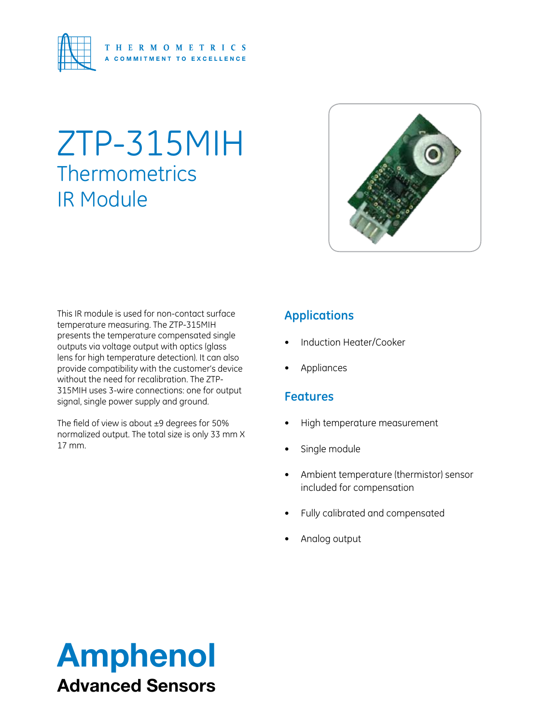

# ZTP-315MIH **Thermometrics** IR Module



This IR module is used for non-contact surface temperature measuring. The ZTP-315MIH presents the temperature compensated single outputs via voltage output with optics (glass lens for high temperature detection). It can also provide compatibility with the customer's device without the need for recalibration. The ZTP-315MIH uses 3-wire connections: one for output signal, single power supply and ground.

The field of view is about ±9 degrees for 50% normalized output. The total size is only 33 mm X 17 mm.

# **Applications**

- Induction Heater/Cooker
- **Appliances**

## **Features**

- High temperature measurement
- Single module
- • Ambient temperature (thermistor) sensor included for compensation
- Fully calibrated and compensated
- Analog output

# Amphenol Advanced Sensors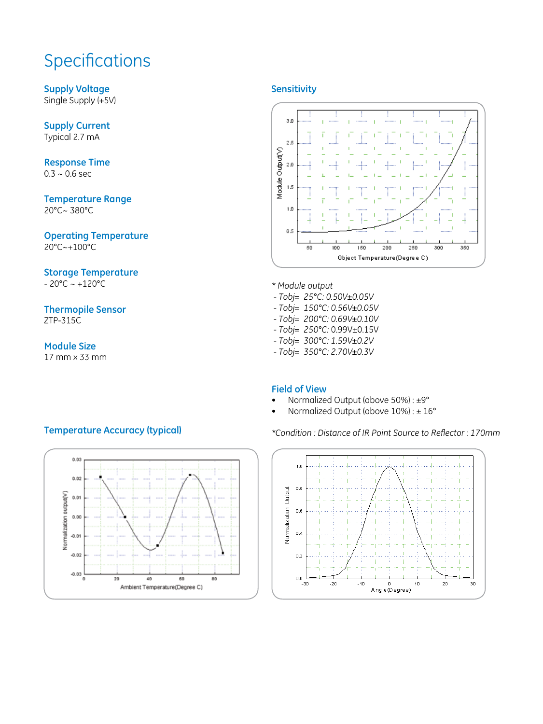# **Specifications**

**Supply Voltage** Single Supply (+5V)

**Supply Current** Typical 2.7 mA

**Response Time**  $0.3 - 0.6$  sec

**Temperature Range** 20°C~ 380°C

**Operating Temperature** 20°C~+100°C

#### **Storage Temperature**

 $-20^{\circ}$ C ~  $+120^{\circ}$ C

**Thermopile Sensor** ZTP-315C

#### **Module Size**

17 mm x 33 mm

#### **Sensitivity**



- *\* Module output*
- *Tobj= 25°C: 0.50V±0.05V*
- *Tobj= 150°C: 0.56V±0.05V*
- *Tobj= 200°C: 0.69V±0.10V*
- *Tobj= 250°C:* 0.99V±0.15V
- *Tobj= 300°C: 1.59V±0.2V*
- *Tobj= 350°C: 2.70V±0.3V*

#### **Field of View**

- Normalized Output (above 50%) : ±9°
- Normalized Output (above  $10\%$ ) :  $\pm 16^{\circ}$

*\*Condition : Distance of IR Point Source to Reflector : 170mm*



### **Temperature Accuracy (typical)**

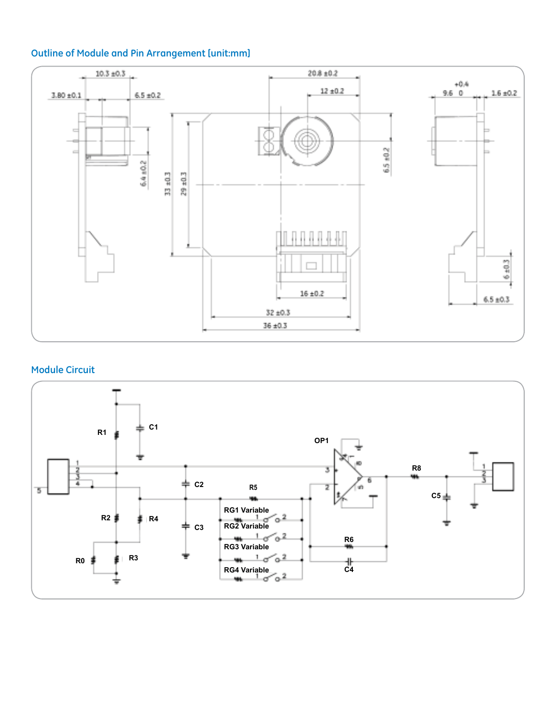### **Outline of Module and Pin Arrangement [unit:mm]**



#### **Module Circuit**